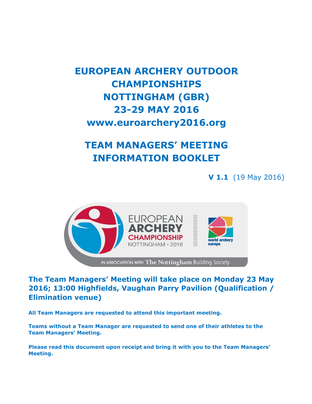# **EUROPEAN ARCHERY OUTDOOR CHAMPIONSHIPS NOTTINGHAM (GBR) 23-29 MAY 2016 www.euroarchery2016.org**

# **TEAM MANAGERS' MEETING INFORMATION BOOKLET**

**V 1.1** (19 May 2016)



**The Team Managers' Meeting will take place on Monday 23 May 2016; 13:00 Highfields, Vaughan Parry Pavilion (Qualification / Elimination venue)**

**All Team Managers are requested to attend this important meeting.**

**Teams without a Team Manager are requested to send one of their athletes to the Team Managers' Meeting.**

**Please read this document upon receipt and bring it with you to the Team Managers' Meeting.**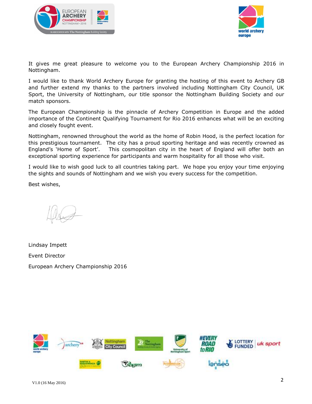



It gives me great pleasure to welcome you to the European Archery Championship 2016 in Nottingham.

I would like to thank World Archery Europe for granting the hosting of this event to Archery GB and further extend my thanks to the partners involved including Nottingham City Council, UK Sport, the University of Nottingham, our title sponsor the Nottingham Building Society and our match sponsors.

The European Championship is the pinnacle of Archery Competition in Europe and the added importance of the Continent Qualifying Tournament for Rio 2016 enhances what will be an exciting and closely fought event.

Nottingham, renowned throughout the world as the home of Robin Hood, is the perfect location for this prestigious tournament. The city has a proud sporting heritage and was recently crowned as England's 'Home of Sport'. This cosmopolitan city in the heart of England will offer both an exceptional sporting experience for participants and warm hospitality for all those who visit.

I would like to wish good luck to all countries taking part. We hope you enjoy your time enjoying the sights and sounds of Nottingham and we wish you every success for the competition.

Best wishes,

Lindsay Impett Event Director European Archery Championship 2016

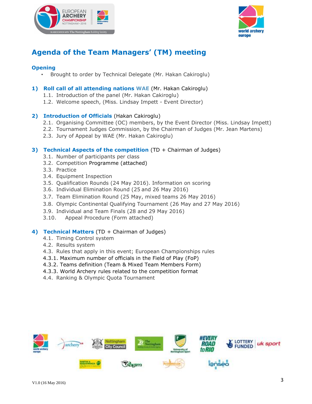



### **Agenda of the Team Managers' (TM) meeting**

#### **Opening**

• Brought to order by Technical Delegate (Mr. Hakan Cakiroglu)

#### **1) Roll call of all attending nations WAE** (Mr. Hakan Cakiroglu)

- 1.1. Introduction of the panel (Mr. Hakan Cakiroglu)
- 1.2. Welcome speech, (Miss. Lindsay Impett Event Director)

#### **2) Introduction of Officials** (Hakan Cakiroglu)

- 2.1. Organising Committee (OC) members, by the Event Director (Miss. Lindsay Impett)
- 2.2. Tournament Judges Commission, by the Chairman of Judges (Mr. Jean Martens)
- 2.3. Jury of Appeal by WAE (Mr. Hakan Cakiroglu)

#### **3) Technical Aspects of the competition** (TD + Chairman of Judges)

- 3.1. Number of participants per class
- 3.2. Competition Programme (attached)
- 3.3. Practice
- 3.4. Equipment Inspection
- 3.5. Qualification Rounds (24 May 2016). Information on scoring
- 3.6. Individual Elimination Round (25 and 26 May 2016)
- 3.7. Team Elimination Round (25 May, mixed teams 26 May 2016)
- 3.8. Olympic Continental Qualifying Tournament (26 May and 27 May 2016)
- 3.9. Individual and Team Finals (28 and 29 May 2016)
- 3.10. Appeal Procedure (Form attached)

#### **4) Technical Matters** (TD + Chairman of Judges)

- 4.1. Timing Control system
- 4.2. Results system
- 4.3. Rules that apply in this event; European Championships rules
- 4.3.1. Maximum number of officials in the Field of Play (FoP)
- 4.3.2. Teams definition (Team & Mixed Team Members Form)
- 4.3.3. World Archery rules related to the competition format
- 4.4. Ranking & Olympic Quota Tournament

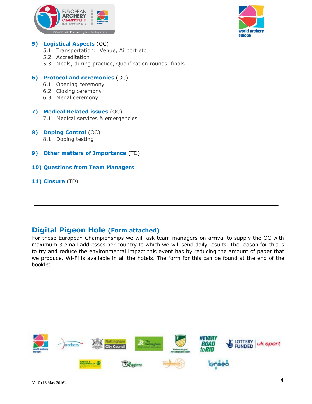



#### **5) Logistical Aspects** (OC)

- 5.1. Transportation: Venue, Airport etc.
- 5.2. Accreditation
- 5.3. Meals, during practice, Qualification rounds, finals

#### **6) Protocol and ceremonies** (OC)

- 6.1. Opening ceremony
- 6.2. Closing ceremony
- 6.3. Medal ceremony

#### **7) Medical Related issues** (OC) 7.1. Medical services & emergencies

- **8) Doping Control** (OC) 8.1. Doping testing
- **9) Other matters of Importance** (TD)

#### **10) Questions from Team Managers**

**11) Closure** (TD)

### **Digital Pigeon Hole (Form attached)**

For these European Championships we will ask team managers on arrival to supply the OC with maximum 3 email addresses per country to which we will send daily results. The reason for this is to try and reduce the environmental impact this event has by reducing the amount of paper that we produce. Wi-Fi is available in all the hotels. The form for this can be found at the end of the booklet.

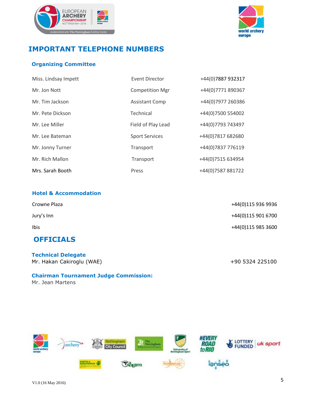



### **IMPORTANT TELEPHONE NUMBERS**

#### **Organizing Committee**

| Miss. Lindsay Impett | Event Director         | +44(0)7887 932317 |
|----------------------|------------------------|-------------------|
| Mr. Jon Nott         | <b>Competition Mgr</b> | +44(0)7771 890367 |
| Mr. Tim Jackson      | <b>Assistant Comp</b>  | +44(0)7977 260386 |
| Mr. Pete Dickson     | Technical              | +44(0)7500 554002 |
| Mr. Lee Miller       | Field of Play Lead     | +44(0)7793 743497 |
| Mr. Lee Bateman      | <b>Sport Services</b>  | +44(0)7817 682680 |
| Mr. Jonny Turner     | Transport              | +44(0)7837 776119 |
| Mr. Rich Mallon      | Transport              | +44(0)7515 634954 |
| Mrs. Sarah Booth     | Press                  | +44(0)7587 881722 |

#### **Hotel & Accommodation**

| <b>OFFICIALS</b> |                    |
|------------------|--------------------|
| Ibis             | +44(0)115 985 3600 |
| Jury's Inn       | +44(0)115 901 6700 |
| Crowne Plaza     | +44(0)115 936 9936 |

**Technical Delegate**  Mr. Hakan Cakiroglu (WAE) +90 5324 225100

#### **Chairman Tournament Judge Commission:**

Mr. Jean Martens

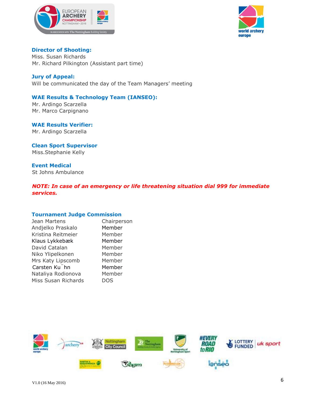



**Director of Shooting:**  Miss. Susan Richards Mr. Richard Pilkington (Assistant part time)

#### **Jury of Appeal:**

Will be communicated the day of the Team Managers' meeting

#### **WAE Results & Technology Team (IANSEO):**

 Mr. Ardingo Scarzella Mr. Marco Carpignano

**WAE Results Verifier:**  Mr. Ardingo Scarzella

**Clean Sport Supervisor**  Miss.Stephanie Kelly

**Event Medical** St Johns Ambulance

*NOTE: In case of an emergency or life threatening situation dial 999 for immediate services.* 

#### **Tournament Judge Commission**

| Jean Martens               | Chairperson |
|----------------------------|-------------|
| Andjelko Praskalo          | Member      |
| Kristina Reitmeier         | Member      |
| Klaus Lykkebæk             | Member      |
| David Catalan              | Member      |
| Niko Ylipelkonen           | Member      |
| Mrs Katy Lipscomb          | Member      |
| Carsten Ku <sup>"</sup> hn | Member      |
| Nataliya Rodionova         | Member      |
| Miss Susan Richards        | DOS         |
|                            |             |

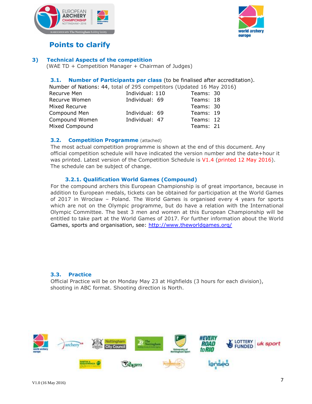



### **Points to clarify**

#### **3) Technical Aspects of the competition**

(WAE TD + Competition Manager + Chairman of Judges)

#### **3.1. Number of Participants per class** (to be finalised after accreditation).

Number of Nations: 44, total of 295 competitors (Updated 16 May 2016)

| Recurve Men    | Individual: 110 | Teams: 30 |  |
|----------------|-----------------|-----------|--|
| Recurve Women  | Individual: 69  | Teams: 18 |  |
| Mixed Recurve  |                 | Teams: 30 |  |
| Compound Men   | Individual: 69  | Teams: 19 |  |
| Compound Women | Individual: 47  | Teams: 12 |  |
| Mixed Compound |                 | Teams: 21 |  |

#### **3.2. Competition Programme** (attached)

The most actual competition programme is shown at the end of this document. Any official competition schedule will have indicated the version number and the date+hour it was printed. Latest version of the Competition Schedule is V1.4 (printed 12 May 2016). The schedule can be subject of change.

#### **3.2.1. Qualification World Games (Compound)**

For the compound archers this European Championship is of great importance, because in addition to European medals, tickets can be obtained for participation at the World Games of 2017 in Wroclaw – Poland. The World Games is organised every 4 years for sports which are not on the Olympic programme, but do have a relation with the International Olympic Committee. The best 3 men and women at this European Championship will be entitled to take part at the World Games of 2017. For further information about the World Games, sports and organisation, see:<http://www.theworldgames.org/>

#### **3.3. Practice**

Official Practice will be on Monday May 23 at Highfields (3 hours for each division), shooting in ABC format. Shooting direction is North.

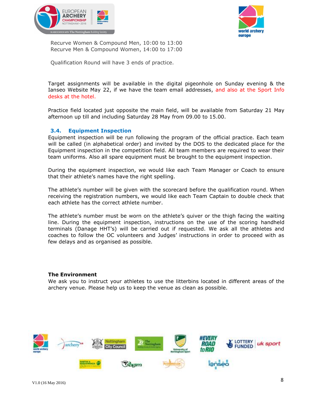



Recurve Women & Compound Men, 10:00 to 13:00 Recurve Men & Compound Women, 14:00 to 17:00

Qualification Round will have 3 ends of practice.

Target assignments will be available in the digital pigeonhole on Sunday evening & the Ianseo Website May 22, if we have the team email addresses, and also at the Sport Info desks at the hotel.

Practice field located just opposite the main field, will be available from Saturday 21 May afternoon up till and including Saturday 28 May from 09.00 to 15.00.

#### **3.4. Equipment Inspection**

Equipment inspection will be run following the program of the official practice. Each team will be called (in alphabetical order) and invited by the DOS to the dedicated place for the Equipment inspection in the competition field. All team members are required to wear their team uniforms. Also all spare equipment must be brought to the equipment inspection.

During the equipment inspection, we would like each Team Manager or Coach to ensure that their athlete's names have the right spelling.

The athlete's number will be given with the scorecard before the qualification round. When receiving the registration numbers, we would like each Team Captain to double check that each athlete has the correct athlete number.

The athlete's number must be worn on the athlete's quiver or the thigh facing the waiting line. During the equipment inspection, instructions on the use of the scoring handheld terminals (Danage HHT's) will be carried out if requested. We ask all the athletes and coaches to follow the OC volunteers and Judges' instructions in order to proceed with as few delays and as organised as possible.

#### **The Environment**

We ask you to instruct your athletes to use the litterbins located in different areas of the archery venue. Please help us to keep the venue as clean as possible.

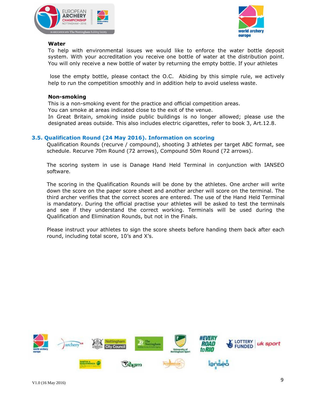



#### **Water**

To help with environmental issues we would like to enforce the water bottle deposit system. With your accreditation you receive one bottle of water at the distribution point. You will only receive a new bottle of water by returning the empty bottle. If your athletes

lose the empty bottle, please contact the O.C. Abiding by this simple rule, we actively help to run the competition smoothly and in addition help to avoid useless waste.

#### **Non-smoking**

This is a non-smoking event for the practice and official competition areas.

You can smoke at areas indicated close to the exit of the venue.

In Great Britain, smoking inside public buildings is no longer allowed; please use the designated areas outside. This also includes electric cigarettes, refer to book 3, Art.12.8.

#### **3.5. Qualification Round (24 May 2016). Information on scoring**

Qualification Rounds (recurve / compound), shooting 3 athletes per target ABC format, see schedule. Recurve 70m Round (72 arrows), Compound 50m Round (72 arrows).

The scoring system in use is Danage Hand Held Terminal in conjunction with IANSEO software.

The scoring in the Qualification Rounds will be done by the athletes. One archer will write down the score on the paper score sheet and another archer will score on the terminal. The third archer verifies that the correct scores are entered. The use of the Hand Held Terminal is mandatory. During the official practise your athletes will be asked to test the terminals and see if they understand the correct working. Terminals will be used during the Qualification and Elimination Rounds, but not in the Finals.

Please instruct your athletes to sign the score sheets before handing them back after each round, including total score, 10's and X's.

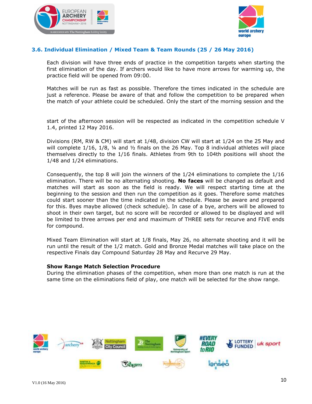



#### **3.6. Individual Elimination / Mixed Team & Team Rounds (25 / 26 May 2016)**

Each division will have three ends of practice in the competition targets when starting the first elimination of the day. If archers would like to have more arrows for warming up, the practice field will be opened from 09:00.

Matches will be run as fast as possible. Therefore the times indicated in the schedule are just a reference. Please be aware of that and follow the competition to be prepared when the match of your athlete could be scheduled. Only the start of the morning session and the

start of the afternoon session will be respected as indicated in the competition schedule V 1.4, printed 12 May 2016.

Divisions (RM, RW & CM) will start at 1/48, division CW will start at 1/24 on the 25 May and will complete  $1/16$ ,  $1/8$ ,  $\frac{1}{4}$  and  $\frac{1}{2}$  finals on the 26 May. Top 8 individual athletes will place themselves directly to the 1/16 finals. Athletes from 9th to 104th positions will shoot the 1/48 and 1/24 eliminations.

Consequently, the top 8 will join the winners of the 1/24 eliminations to complete the 1/16 elimination. There will be no alternating shooting. **No faces** will be changed as default and matches will start as soon as the field is ready. We will respect starting time at the beginning to the session and then run the competition as it goes. Therefore some matches could start sooner than the time indicated in the schedule. Please be aware and prepared for this. Byes maybe allowed (check schedule). In case of a bye, archers will be allowed to shoot in their own target, but no score will be recorded or allowed to be displayed and will be limited to three arrows per end and maximum of THREE sets for recurve and FIVE ends for compound.

Mixed Team Elimination will start at 1/8 finals, May 26, no alternate shooting and it will be run until the result of the 1/2 match. Gold and Bronze Medal matches will take place on the respective Finals day Compound Saturday 28 May and Recurve 29 May.

#### **Show Range Match Selection Procedure**

During the elimination phases of the competition, when more than one match is run at the same time on the eliminations field of play, one match will be selected for the show range.

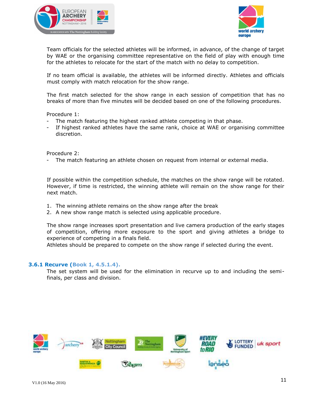



Team officials for the selected athletes will be informed, in advance, of the change of target by WAE or the organising committee representative on the field of play with enough time for the athletes to relocate for the start of the match with no delay to competition.

If no team official is available, the athletes will be informed directly. Athletes and officials must comply with match relocation for the show range.

The first match selected for the show range in each session of competition that has no breaks of more than five minutes will be decided based on one of the following procedures.

Procedure 1:

- The match featuring the highest ranked athlete competing in that phase.
- If highest ranked athletes have the same rank, choice at WAE or organising committee discretion.

Procedure 2:

- The match featuring an athlete chosen on request from internal or external media.

If possible within the competition schedule, the matches on the show range will be rotated. However, if time is restricted, the winning athlete will remain on the show range for their next match.

- 1. The winning athlete remains on the show range after the break
- 2. A new show range match is selected using applicable procedure.

The show range increases sport presentation and live camera production of the early stages of competition, offering more exposure to the sport and giving athletes a bridge to experience of competing in a finals field.

Athletes should be prepared to compete on the show range if selected during the event.

#### **3.6.1 Recurve (Book 1, 4.5.1.4).**

The set system will be used for the elimination in recurve up to and including the semifinals, per class and division.

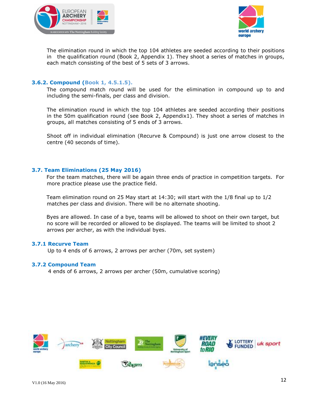



The elimination round in which the top 104 athletes are seeded according to their positions in the qualification round (Book 2, Appendix 1). They shoot a series of matches in groups, each match consisting of the best of 5 sets of 3 arrows.

#### **3.6.2. Compound (Book 1, 4.5.1.5).**

The compound match round will be used for the elimination in compound up to and including the semi-finals, per class and division.

The elimination round in which the top 104 athletes are seeded according their positions in the 50m qualification round (see Book 2, Appendix1). They shoot a series of matches in groups, all matches consisting of 5 ends of 3 arrows.

Shoot off in individual elimination (Recurve & Compound) is just one arrow closest to the centre (40 seconds of time).

#### **3.7. Team Eliminations (25 May 2016)**

For the team matches, there will be again three ends of practice in competition targets. For more practice please use the practice field.

Team elimination round on 25 May start at 14:30; will start with the 1/8 final up to 1/2 matches per class and division. There will be no alternate shooting.

Byes are allowed. In case of a bye, teams will be allowed to shoot on their own target, but no score will be recorded or allowed to be displayed. The teams will be limited to shoot 2 arrows per archer, as with the individual byes.

#### **3.7.1 Recurve Team**

Up to 4 ends of 6 arrows, 2 arrows per archer (70m, set system)

#### **3.7.2 Compound Team**

4 ends of 6 arrows, 2 arrows per archer (50m, cumulative scoring)

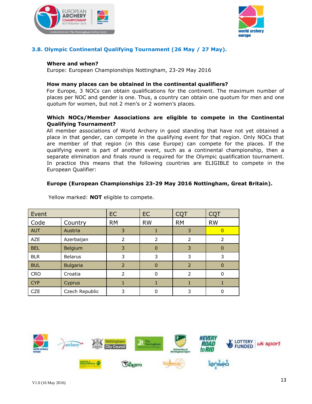



### **3.8. Olympic Continental Qualifying Tournament (26 May / 27 May).**

#### **Where and when?**

Europe: European Championships Nottingham, 23-29 May 2016

#### **How many places can be obtained in the continental qualifiers?**

For Europe, 3 NOCs can obtain qualifications for the continent. The maximum number of places per NOC and gender is one. Thus, a country can obtain one quotum for men and one quotum for women, but not 2 men's or 2 women's places.

#### **Which NOCs/Member Associations are eligible to compete in the Continental Qualifying Tournament?**

All member associations of World Archery in good standing that have not yet obtained a place in that gender, can compete in the qualifying event for that region. Only NOCs that are member of that region (in this case Europe) can compete for the places. If the qualifying event is part of another event, such as a continental championship, then a separate elimination and finals round is required for the Olympic qualification tournament. In practice this means that the following countries are ELIGIBLE to compete in the European Qualifier:

#### **Europe (European Championships 23-29 May 2016 Nottingham, Great Britain).**

| Event      |                 | <b>EC</b> | <b>EC</b> | <b>CQT</b>    | <b>CQT</b>     |
|------------|-----------------|-----------|-----------|---------------|----------------|
| Code       | Country         | <b>RM</b> | <b>RW</b> | <b>RM</b>     | <b>RW</b>      |
| <b>AUT</b> | Austria         | 3         |           | 3             | $\overline{0}$ |
| <b>AZE</b> | Azerbaijan      | 2         | 2         | 2             | $\mathcal{P}$  |
| <b>BEL</b> | Belgium         | 3         | $\Omega$  | 3             |                |
| <b>BLR</b> | <b>Belarus</b>  | 3         | 3         | 3             | 3              |
| <b>BUL</b> | <b>Bulgaria</b> | 2         | $\Omega$  | 2             | O              |
| <b>CRO</b> | Croatia         | 2         | 0         | $\mathcal{P}$ |                |
| <b>CYP</b> | Cyprus          |           | 1         |               |                |
| <b>CZE</b> | Czech Republic  | 3         | 0         | 3             |                |

Yellow marked: **NOT** eligible to compete.

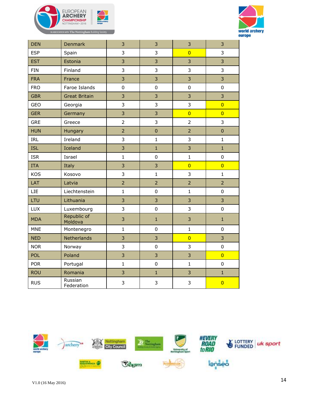



| <b>DEN</b> | <b>Denmark</b>         | 3              | 3              | 3              | 3              |
|------------|------------------------|----------------|----------------|----------------|----------------|
| <b>ESP</b> | Spain                  | $\overline{3}$ | 3              | $\overline{0}$ | 3              |
| <b>EST</b> | Estonia                | 3              | 3              | 3              | 3              |
| <b>FIN</b> | Finland                | $\overline{3}$ | 3              | $\overline{3}$ | 3              |
| <b>FRA</b> | France                 | $\overline{3}$ | 3              | 3              | 3              |
| <b>FRO</b> | Faroe Islands          | $\pmb{0}$      | 0              | $\pmb{0}$      | $\pmb{0}$      |
| <b>GBR</b> | <b>Great Britain</b>   | $\overline{3}$ | 3              | 3              | 3              |
| GEO        | Georgia                | 3              | 3              | 3              | $\overline{0}$ |
| <b>GER</b> | Germany                | 3              | 3              | $\overline{0}$ | $\overline{0}$ |
| <b>GRE</b> | Greece                 | $\overline{2}$ | 3              | $\overline{2}$ | 3              |
| <b>HUN</b> | Hungary                | $\overline{2}$ | $\mathbf 0$    | $\overline{2}$ | $\pmb{0}$      |
| <b>IRL</b> | Ireland                | $\overline{3}$ | $\mathbf{1}$   | 3              | $\mathbf{1}$   |
| <b>ISL</b> | Iceland                | 3              | $\mathbf{1}$   | 3              | $\mathbf{1}$   |
| <b>ISR</b> | Israel                 | $\mathbf{1}$   | 0              | $\mathbf{1}$   | $\pmb{0}$      |
| <b>ITA</b> | Italy                  | $\overline{3}$ | 3              | $\overline{0}$ | $\overline{0}$ |
| <b>KOS</b> | Kosovo                 | $\overline{3}$ | $\mathbf{1}$   | 3              | $\mathbf{1}$   |
| LAT        | Latvia                 | $\overline{2}$ | $\overline{2}$ | $\overline{2}$ | $\overline{2}$ |
| <b>LIE</b> | Liechtenstein          | $\mathbf{1}$   | 0              | $\mathbf 1$    | $\pmb{0}$      |
| LTU        | Lithuania              | $\overline{3}$ | 3              | 3              | 3              |
| LUX        | Luxembourg             | 3              | 0              | $\overline{3}$ | $\mathbf 0$    |
| <b>MDA</b> | Republic of<br>Moldova | 3              | $\mathbf{1}$   | 3              | $\mathbf{1}$   |
| <b>MNE</b> | Montenegro             | $\mathbf{1}$   | 0              | $\mathbf{1}$   | $\mathbf 0$    |
| <b>NED</b> | Netherlands            | $\overline{3}$ | 3              | $\overline{0}$ | 3              |
| <b>NOR</b> | Norway                 | 3              | 0              | 3              | $\pmb{0}$      |
| <b>POL</b> | Poland                 | $\overline{3}$ | 3              | $\overline{3}$ | $\overline{0}$ |
| <b>POR</b> | Portugal               | $\mathbf{1}$   | 0              | $\mathbf{1}$   | $\pmb{0}$      |
| <b>ROU</b> | Romania                | 3              | $\mathbf{1}$   | 3              | $\mathbf{1}$   |
| <b>RUS</b> | Russian<br>Federation  | $\overline{3}$ | 3              | 3              | $\overline{0}$ |

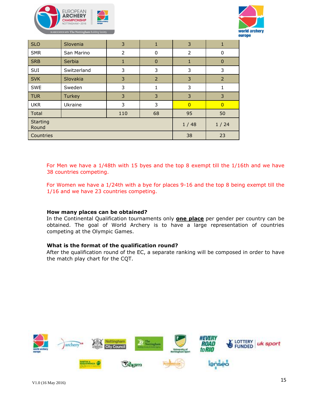



| <b>SLO</b>               | Slovenia      | 3    | 1              | 3              |                |
|--------------------------|---------------|------|----------------|----------------|----------------|
| <b>SMR</b>               | San Marino    | 2    | 0              | 2              | 0              |
| <b>SRB</b>               | <b>Serbia</b> | 1    | 0              | 1              | $\overline{0}$ |
| SUI                      | Switzerland   | 3    | 3              | 3              | 3              |
| <b>SVK</b>               | Slovakia      | 3    | $\overline{2}$ | 3              | $\overline{2}$ |
| <b>SWE</b>               | Sweden        | 3    |                | 3              | 1              |
| <b>TUR</b>               | <b>Turkey</b> | 3    | 3              | 3              | 3              |
| <b>UKR</b>               | Ukraine       | 3    | 3              | $\overline{0}$ | $\overline{0}$ |
| Total                    |               | 110  | 68             | 95             | 50             |
| <b>Starting</b><br>Round |               | 1/48 | 1/24           |                |                |
| Countries                |               |      | 38             | 23             |                |

For Men we have a 1/48th with 15 byes and the top 8 exempt till the 1/16th and we have 38 countries competing.

For Women we have a 1/24th with a bye for places 9-16 and the top 8 being exempt till the 1/16 and we have 23 countries competing.

#### **How many places can be obtained?**

In the Continental Qualification tournaments only **one place** per gender per country can be obtained. The goal of World Archery is to have a large representation of countries competing at the Olympic Games.

#### **What is the format of the qualification round?**

After the qualification round of the EC, a separate ranking will be composed in order to have the match play chart for the CQT.

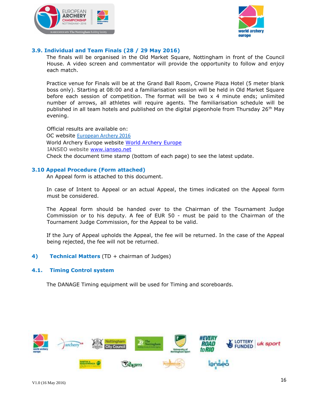



#### **3.9. Individual and Team Finals (28 / 29 May 2016)**

The finals will be organised in the Old Market Square, Nottingham in front of the Council House. A video screen and commentator will provide the opportunity to follow and enjoy each match.

Practice venue for Finals will be at the Grand Ball Room, Crowne Plaza Hotel (5 meter blank boss only). Starting at 08:00 and a familiarisation session will be held in Old Market Square before each session of competition. The format will be two x 4 minute ends; unlimited number of arrows, all athletes will require agents. The familiarisation schedule will be published in all team hotels and published on the digital pigeonhole from Thursday  $26<sup>th</sup>$  May evening.

Official results are available on: OC websit[e](http://www.ecarchery2012.nl/) [European Archery 2016](http://www.ecarchery2012.nl/) [World Archery Europe](http://www.emau.org/) website World Archery Europe IANSEO website [www.ianseo.net](http://www.ianseo.net/) Check the document time stamp (bottom of each page) to see the latest update.

#### **3.10 Appeal Procedure (Form attached)**

An Appeal form is attached to this document.

In case of Intent to Appeal or an actual Appeal, the times indicated on the Appeal form must be considered.

The Appeal form should be handed over to the Chairman of the Tournament Judge Commission or to his deputy. A fee of EUR 50 - must be paid to the Chairman of the Tournament Judge Commission, for the Appeal to be valid.

If the Jury of Appeal upholds the Appeal, the fee will be returned. In the case of the Appeal being rejected, the fee will not be returned.

**4) Technical Matters** (TD + chairman of Judges)

#### **4.1. Timing Control system**

The DANAGE Timing equipment will be used for Timing and scoreboards.

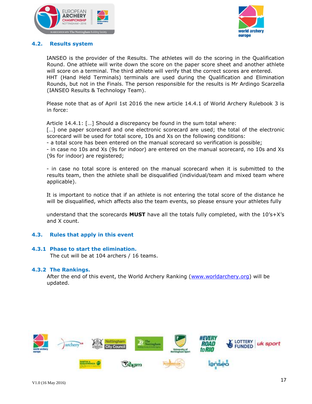



#### **4.2. Results system**

IANSEO is the provider of the Results. The athletes will do the scoring in the Qualification Round. One athlete will write down the score on the paper score sheet and another athlete will score on a terminal. The third athlete will verify that the correct scores are entered. HHT (Hand Held Terminals) terminals are used during the Qualification and Elimination Rounds, but not in the Finals. The person responsible for the results is Mr Ardingo Scarzella (IANSEO Results & Technology Team).

Please note that as of April 1st 2016 the new article 14.4.1 of World Archery Rulebook 3 is in force:

Article 14.4.1: […] Should a discrepancy be found in the sum total where:

[...] one paper scorecard and one electronic scorecard are used; the total of the electronic scorecard will be used for total score, 10s and Xs on the following conditions:

- a total score has been entered on the manual scorecard so verification is possible;

- in case no 10s and Xs (9s for indoor) are entered on the manual scorecard, no 10s and Xs (9s for indoor) are registered;

- in case no total score is entered on the manual scorecard when it is submitted to the results team, then the athlete shall be disqualified (individual/team and mixed team where applicable).

It is important to notice that if an athlete is not entering the total score of the distance he will be disqualified, which affects also the team events, so please ensure your athletes fully

understand that the scorecards **MUST** have all the totals fully completed, with the 10's+X's and X count.

#### **4.3. Rules that apply in this event**

#### **4.3.1 Phase to start the elimination.**

The cut will be at 104 archers / 16 teams.

#### **4.3.2 The Rankings.**

After the end of this event, the World Archery Ranking [\(www.worldarchery.org\)](http://www.worldarchery.org/) will be updated.

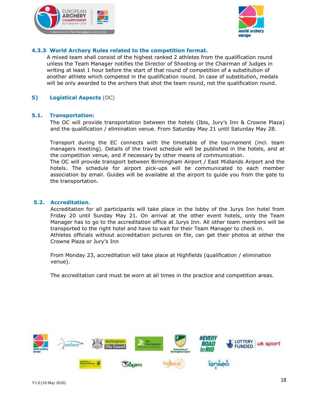



#### **4.3.3 World Archery Rules related to the competition format.**

A mixed team shall consist of the highest ranked 2 athletes from the qualification round unless the Team Manager notifies the Director of Shooting or the Chairman of Judges in writing at least 1 hour before the start of that round of competition of a substitution of another athlete which competed in the qualification round. In case of substitution, medals will be only awarded to the archers that shot the team round, not the qualification round.

#### **5) Logistical Aspects** (OC)

#### **5.1. Transportation:**

The OC will provide transportation between the hotels (Ibis, Jury's Inn & Crowne Plaza) and the qualification / elimination venue. From Saturday May 21 until Saturday May 28.

Transport during the EC connects with the timetable of the tournament (incl. team managers meeting). Details of the travel schedule will be published in the hotels, and at the competition venue, and if necessary by other means of communication.

The OC will provide transport between Birmingham Airport / East Midlands Airport and the hotels. The schedule for airport pick-ups will be communicated to each member association by email. Guides will be available at the airport to guide you from the gate to the transportation.

#### **5.2. Accreditation.**

Accreditation for all participants will take place in the lobby of the Jurys Inn hotel from Friday 20 until Sunday May 21. On arrival at the other event hotels, only the Team Manager has to go to the accreditation office at Jurys Inn. All other team members will be transported to the right hotel and have to wait for their Team Manager to check in. Athletes officials without accreditation pictures on file, can get their photos at either the Crowne Plaza or Jury's Inn

From Monday 23, accreditation will take place at Highfields (qualification / elimination venue).

The accreditation card must be worn at all times in the practice and competition areas.

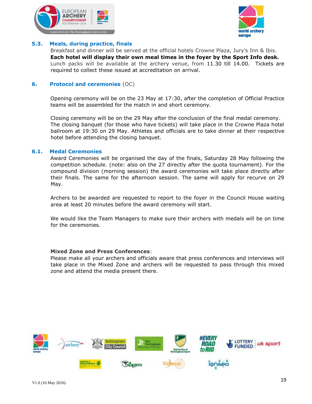



#### **5.3. Meals, during practice, finals**

Breakfast and dinner will be served at the official hotels Crowne Plaza, Jury's Inn & Ibis. **Each hotel will display their own meal times in the foyer by the Sport Info desk.** Lunch packs will be available at the archery venue, from 11.30 till 14.00. Tickets are required to collect these issued at accreditation on arrival.

#### **6. Protocol and ceremonies** (OC)

Opening ceremony will be on the 23 May at 17:30, after the completion of Official Practice teams will be assembled for the match in and short ceremony.

Closing ceremony will be on the 29 May after the conclusion of the final medal ceremony. The closing banquet (for those who have tickets) will take place in the Crowne Plaza hotel ballroom at 19:30 on 29 May. Athletes and officials are to take dinner at their respective hotel before attending the closing banquet.

#### **6.1. Medal Ceremonies**

Award Ceremonies will be organised the day of the finals, Saturday 28 May following the competition schedule. (note: also on the 27 directly after the quota tournament). For the compound division (morning session) the award ceremonies will take place directly after their finals. The same for the afternoon session. The same will apply for recurve on 29 May.

Archers to be awarded are requested to report to the foyer in the Council House waiting area at least 20 minutes before the award ceremony will start.

We would like the Team Managers to make sure their archers with medals will be on time for the ceremonies.

#### **Mixed Zone and Press Conferences**:

Please make all your archers and officials aware that press conferences and interviews will take place in the Mixed Zone and archers will be requested to pass through this mixed zone and attend the media present there.

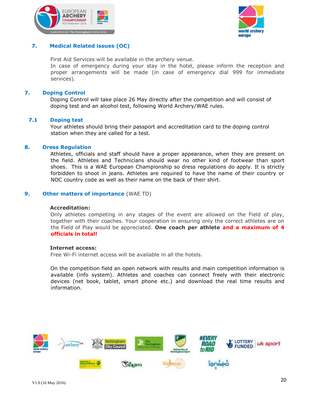



#### **7. Medical Related issues (OC)**

First Aid Services will be available in the archery venue.

In case of emergency during your stay in the hotel, please inform the reception and proper arrangements will be made (in case of emergency dial 999 for immediate services).

#### **7. Doping Control**

Doping Control will take place 26 May directly after the competition and will consist of doping test and an alcohol test, following World Archery/WAE rules.

#### **7.1 Doping test**

Your athletes should bring their passport and accreditation card to the doping control station when they are called for a test.

#### **8. Dress Regulation**

Athletes, officials and staff should have a proper appearance, when they are present on the field. Athletes and Technicians should wear no other kind of footwear than sport shoes. This is a WAE European Championship so dress regulations do apply. It is strictly forbidden to shoot in jeans. Athletes are required to have the name of their country or NOC country code as well as their name on the back of their shirt.

#### **9. Other matters of importance** (WAE TD)

#### **Accreditation:**

Only athletes competing in any stages of the event are allowed on the Field of play, together with their coaches. Your cooperation in ensuring only the correct athletes are on the Field of Play would be appreciated. **One coach per athlete and a maximum of 4 officials in total!**

#### **Internet access:**

Free Wi-Fi internet access will be available in all the hotels.

On the competition field an open network with results and main competition information is available (info system). Athletes and coaches can connect freely with their electronic devices (net book, tablet, smart phone etc.) and download the real time results and information.

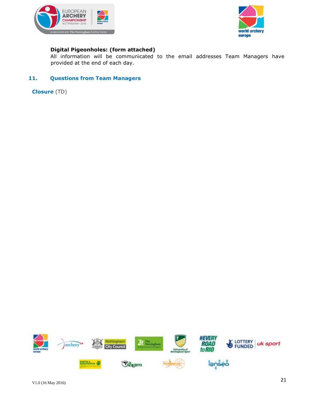



#### **Digital Pigeonholes: (form attached)**

All information will be communicated to the email addresses Team Managers have provided at the end of each day.

#### **11. Questions from Team Managers**

**Closure** (TD)

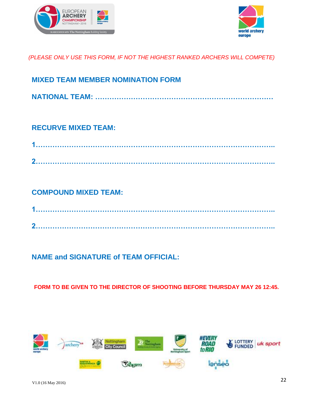



### *(PLEASE ONLY USE THIS FORM, IF NOT THE HIGHEST RANKED ARCHERS WILL COMPETE)*

| <b>MIXED TEAM MEMBER NOMINATION FORM</b> |
|------------------------------------------|
|                                          |

### **RECURVE MIXED TEAM:**

| മ |  |  |
|---|--|--|

### **COMPOUND MIXED TEAM:**

| ് |  |  |  |
|---|--|--|--|

## **NAME and SIGNATURE of TEAM OFFICIAL:**

**FORM TO BE GIVEN TO THE DIRECTOR OF SHOOTING BEFORE THURSDAY MAY 26 12:45.** 

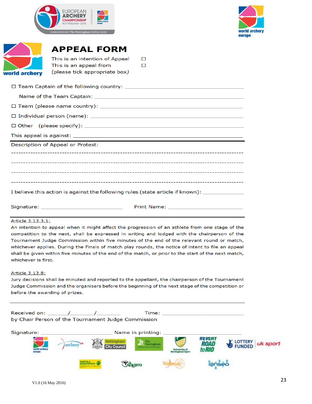| <b>EUROPEAN</b><br><b>ARCHERY</b><br><b>CHAMPIONSHIP</b><br>NOTTINGHAM · 2016 | E | world archery<br>europe |
|-------------------------------------------------------------------------------|---|-------------------------|
| IN ASSOCIATION WITH The Nottingham Building Society                           |   |                         |



| world archery |
|---------------|

## **APPEAL FORM**

| This is an intention of Appeal | $\Box$ |
|--------------------------------|--------|
| This is an appeal from         | $\Box$ |
| (please tick appropriate box)  |        |

| Description of Appeal or Protest: |
|-----------------------------------|

I believe this action is against the following rules (state article if known): \_\_\_

#### Article 3.13.3.1:

An intention to appeal when it might affect the progression of an athlete from one stage of the competition to the next, shall be expressed in writing and lodged with the chairperson of the Tournament Judge Commission within five minutes of the end of the relevant round or match, whichever applies. During the Finals of match play rounds, the notice of intent to file an appeal shall be given within five minutes of the end of the match, or prior to the start of the next match, whichever is first.

#### Article 3.13.8:

Jury decisions shall be minuted and reported to the appellant, the chairperson of the Tournament Judge Commission and the organisers before the beginning of the next stage of the competition or before the awarding of prizes.

| by Chair Person of the Tournament Judge Commission |         |                                                         |                     |                   | Time: ________________________ |      |                            |
|----------------------------------------------------|---------|---------------------------------------------------------|---------------------|-------------------|--------------------------------|------|----------------------------|
| world archer<br><b>STATISTICS</b>                  | archery |                                                         | <b>City Council</b> | Name in printing: |                                | ROAL | <b>LOTTERY</b><br>uk sport |
|                                                    |         | <b><i><u>RELIGIBINES</u></i></b><br><b><i>Cocur</i></b> |                     |                   | lanseo                         |      |                            |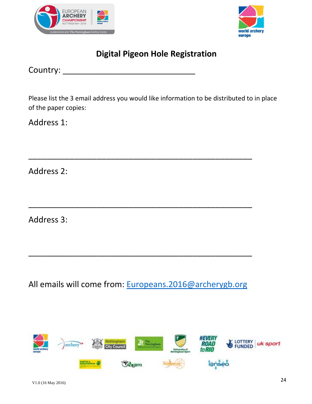



# **Digital Pigeon Hole Registration**

Country: \_\_\_\_\_\_\_\_\_\_\_\_\_\_\_\_\_\_\_\_\_\_\_\_\_\_\_\_\_

Please list the 3 email address you would like information to be distributed to in place of the paper copies:

\_\_\_\_\_\_\_\_\_\_\_\_\_\_\_\_\_\_\_\_\_\_\_\_\_\_\_\_\_\_\_\_\_\_\_\_\_\_\_\_\_\_\_\_\_\_\_\_\_

\_\_\_\_\_\_\_\_\_\_\_\_\_\_\_\_\_\_\_\_\_\_\_\_\_\_\_\_\_\_\_\_\_\_\_\_\_\_\_\_\_\_\_\_\_\_\_\_\_

Address 1:

Address 2:

Address 3:

All emails will come from: [Europeans.2016@archerygb.org](mailto:Europeans.2016@archerygb.org)

\_\_\_\_\_\_\_\_\_\_\_\_\_\_\_\_\_\_\_\_\_\_\_\_\_\_\_\_\_\_\_\_\_\_\_\_\_\_\_\_\_\_\_\_\_\_\_\_\_